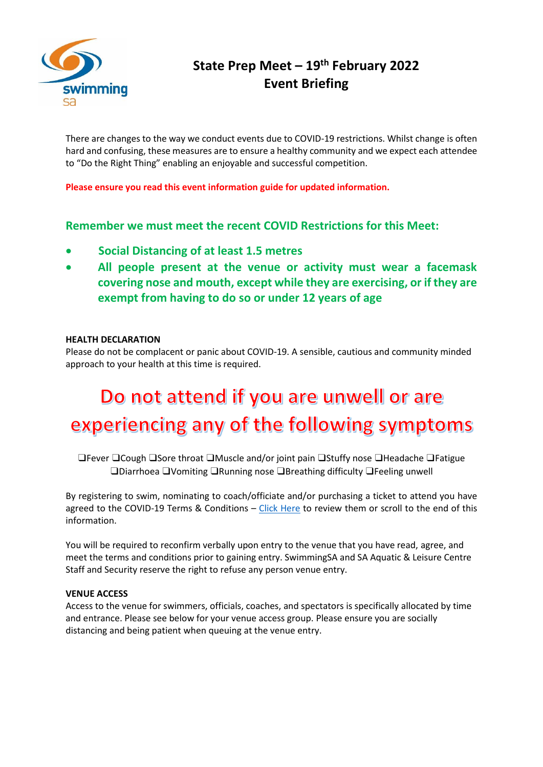

# **State Prep Meet – 19th February 2022 Event Briefing**

There are changes to the way we conduct events due to COVID-19 restrictions. Whilst change is often hard and confusing, these measures are to ensure a healthy community and we expect each attendee to "Do the Right Thing" enabling an enjoyable and successful competition.

**Please ensure you read this event information guide for updated information.**

# **Remember we must meet the recent COVID Restrictions for this Meet:**

- **Social Distancing of at least 1.5 metres**
- **All people present at the venue or activity must wear a facemask covering nose and mouth, except while they are exercising, or if they are exempt from having to do so or under 12 years of age**

# **HEALTH DECLARATION**

Please do not be complacent or panic about COVID-19. A sensible, cautious and community minded approach to your health at this time is required.

# Do not attend if you are unwell or are experiencing any of the following symptoms

❑Fever ❑Cough ❑Sore throat ❑Muscle and/or joint pain ❑Stuffy nose ❑Headache ❑Fatigue ❑Diarrhoea ❑Vomiting ❑Running nose ❑Breathing difficulty ❑Feeling unwell

By registering to swim, nominating to coach/officiate and/or purchasing a ticket to attend you have agreed to the COVID-19 Terms & Conditions  $-$  [Click Here](https://sa.swimming.org.au/sites/default/files/assets/documents/9004%20-%20Terms%20and%20Conditions%20Membership%20-%20COVID-19%20Addendum_0.pdf) to review them or scroll to the end of this information.

You will be required to reconfirm verbally upon entry to the venue that you have read, agree, and meet the terms and conditions prior to gaining entry. SwimmingSA and SA Aquatic & Leisure Centre Staff and Security reserve the right to refuse any person venue entry.

# **VENUE ACCESS**

Access to the venue for swimmers, officials, coaches, and spectators is specifically allocated by time and entrance. Please see below for your venue access group. Please ensure you are socially distancing and being patient when queuing at the venue entry.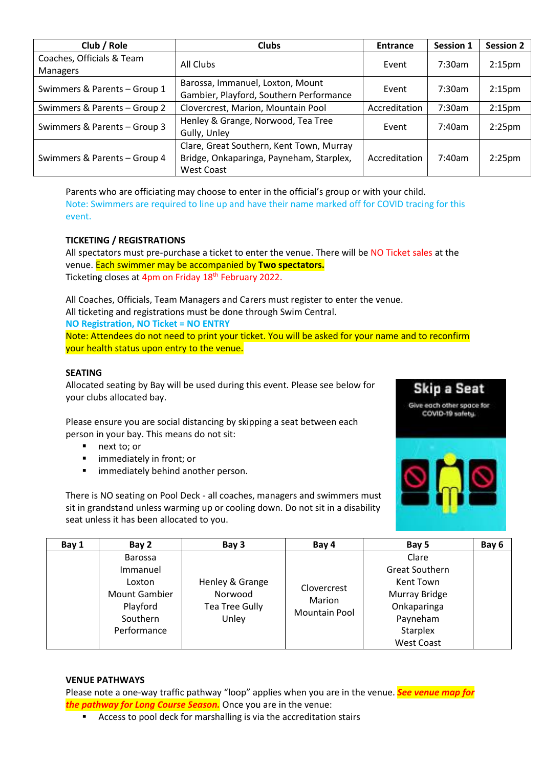| Club / Role                                  | <b>Clubs</b>                                                                                              | <b>Entrance</b> | <b>Session 1</b> | <b>Session 2</b>   |
|----------------------------------------------|-----------------------------------------------------------------------------------------------------------|-----------------|------------------|--------------------|
| Coaches, Officials & Team<br><b>Managers</b> | All Clubs                                                                                                 | Event           | 7:30am           | 2:15 <sub>pm</sub> |
| Swimmers & Parents - Group 1                 | Barossa, Immanuel, Loxton, Mount<br>Gambier, Playford, Southern Performance                               | Event           | $7:30$ am        | 2:15 <sub>pm</sub> |
| Swimmers & Parents - Group 2                 | Clovercrest, Marion, Mountain Pool                                                                        | Accreditation   | 7:30am           | 2:15 <sub>pm</sub> |
| Swimmers & Parents - Group 3                 | Henley & Grange, Norwood, Tea Tree<br>Gully, Unley                                                        |                 | 7:40am           | 2:25 <sub>pm</sub> |
| Swimmers & Parents - Group 4                 | Clare, Great Southern, Kent Town, Murray<br>Bridge, Onkaparinga, Payneham, Starplex,<br><b>West Coast</b> | Accreditation   | 7:40am           | 2:25 <sub>pm</sub> |

Parents who are officiating may choose to enter in the official's group or with your child. Note: Swimmers are required to line up and have their name marked off for COVID tracing for this event.

# **TICKETING / REGISTRATIONS**

All spectators must pre-purchase a ticket to enter the venue. There will be NO Ticket sales at the venue. Each swimmer may be accompanied by **Two spectators.** Ticketing closes at 4pm on Friday 18<sup>th</sup> February 2022.

All Coaches, Officials, Team Managers and Carers must register to enter the venue. All ticketing and registrations must be done through Swim Central.

**NO Registration, NO Ticket = NO ENTRY**

Note: Attendees do not need to print your ticket. You will be asked for your name and to reconfirm your health status upon entry to the venue.

#### **SEATING**

Allocated seating by Bay will be used during this event. Please see below for your clubs allocated bay.

Please ensure you are social distancing by skipping a seat between each person in your bay. This means do not sit:

- next to; or
- immediately in front; or
- **■** immediately behind another person.

There is NO seating on Pool Deck - all coaches, managers and swimmers must sit in grandstand unless warming up or cooling down. Do not sit in a disability seat unless it has been allocated to you.



Skip a Seat Give each other space for COVID-19 safety.

| Bay 1 | Bay 2                | Bay 3             | Bay 4                 | Bay 5             | Bay 6 |
|-------|----------------------|-------------------|-----------------------|-------------------|-------|
|       | <b>Barossa</b>       |                   |                       | Clare             |       |
|       | Immanuel             |                   | <b>Great Southern</b> |                   |       |
|       | Loxton               | Henley & Grange   | Clovercrest           | Kent Town         |       |
|       | <b>Mount Gambier</b> | Norwood<br>Marion |                       | Murray Bridge     |       |
|       | Playford             | Tea Tree Gully    | <b>Mountain Pool</b>  | Onkaparinga       |       |
|       | Southern             | Unley             |                       | Payneham          |       |
|       | Performance          |                   |                       | <b>Starplex</b>   |       |
|       |                      |                   |                       | <b>West Coast</b> |       |

#### **VENUE PATHWAYS**

Please note a one-way traffic pathway "loop" applies when you are in the venue. *See venue map for the pathway for Long Course Season.* Once you are in the venue:

■ Access to pool deck for marshalling is via the accreditation stairs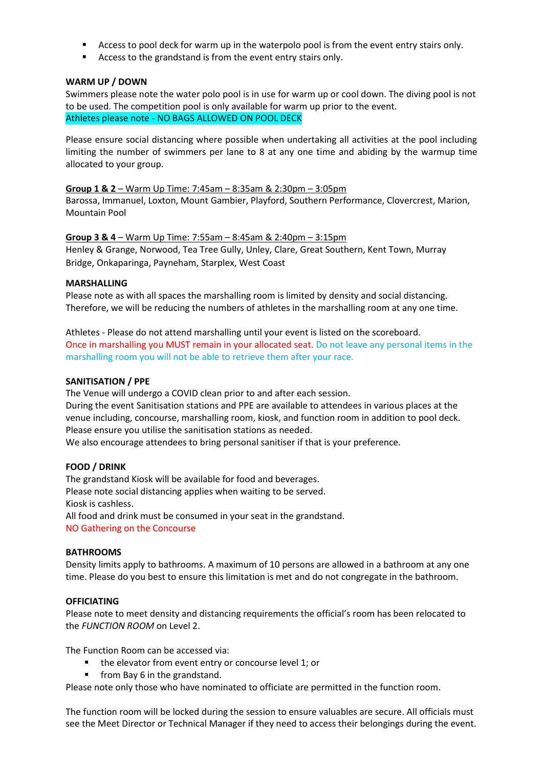- Access to pool deck for warm up in the waterpolo pool is from the event entry stairs only.
- Access to the grandstand is from the event entry stairs only.

#### **WARM UP / DOWN**

Swimmers please note the water polo pool is in use for warm up or cool down. The diving pool is not to be used. The competition pool is only available for warm up prior to the event. Athletes please note - NO BAGS ALLOWED ON POOL DECK

Please ensure social distancing where possible when undertaking all activities at the pool including limiting the number of swimmers per lane to 8 at any one time and abiding by the warmup time allocated to your group.

#### **Group 1 & 2** – Warm Up Time: 7:45am – 8:35am & 2:30pm – 3:05pm

Barossa, Immanuel, Loxton, Mount Gambier, Playford, Southern Performance, Clovercrest, Marion, Mountain Pool

**Group 3 & 4** – Warm Up Time: 7:55am – 8:45am & 2:40pm – 3:15pm Henley & Grange, Norwood, Tea Tree Gully, Unley, Clare, Great Southern, Kent Town, Murray Bridge, Onkaparinga, Payneham, Starplex, West Coast

#### **MARSHALLING**

Please note as with all spaces the marshalling room is limited by density and social distancing. Therefore, we will be reducing the numbers of athletes in the marshalling room at any one time.

Athletes - Please do not attend marshalling until your event is listed on the scoreboard. Once in marshalling you MUST remain in your allocated seat. Do not leave any personal items in the marshalling room you will not be able to retrieve them after your race.

#### **SANITISATION / PPE**

The Venue will undergo a COVID clean prior to and after each session. During the event Sanitisation stations and PPE are available to attendees in various places at the venue including, concourse, marshalling room, kiosk, and function room in addition to pool deck. Please ensure you utilise the sanitisation stations as needed.

We also encourage attendees to bring personal sanitiser if that is your preference.

#### **FOOD / DRINK**

The grandstand Kiosk will be available for food and beverages. Please note social distancing applies when waiting to be served. Kiosk is cashless. All food and drink must be consumed in your seat in the grandstand. NO Gathering on the Concourse

#### **BATHROOMS**

Density limits apply to bathrooms. A maximum of 10 persons are allowed in a bathroom at any one time. Please do you best to ensure this limitation is met and do not congregate in the bathroom.

#### **OFFICIATING**

Please note to meet density and distancing requirements the official's room has been relocated to the *FUNCTION ROOM* on Level 2.

The Function Room can be accessed via:

- the elevator from event entry or concourse level 1; or
- from Bay 6 in the grandstand.

Please note only those who have nominated to officiate are permitted in the function room.

The function room will be locked during the session to ensure valuables are secure. All officials must see the Meet Director or Technical Manager if they need to access their belongings during the event.